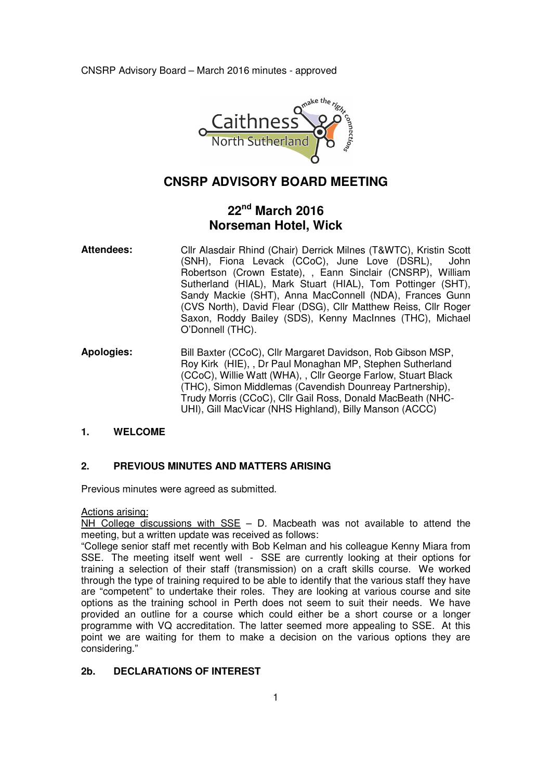CNSRP Advisory Board – March 2016 minutes - approved



# **CNSRP ADVISORY BOARD MEETING**

# **22nd March 2016 Norseman Hotel, Wick**

- **Attendees:** Cllr Alasdair Rhind (Chair) Derrick Milnes (T&WTC), Kristin Scott (SNH), Fiona Levack (CCoC), June Love (DSRL), John Robertson (Crown Estate), , Eann Sinclair (CNSRP), William Sutherland (HIAL), Mark Stuart (HIAL), Tom Pottinger (SHT), Sandy Mackie (SHT), Anna MacConnell (NDA), Frances Gunn (CVS North), David Flear (DSG), Cllr Matthew Reiss, Cllr Roger Saxon, Roddy Bailey (SDS), Kenny MacInnes (THC), Michael O'Donnell (THC).
- **Apologies:** Bill Baxter (CCoC), Cllr Margaret Davidson, Rob Gibson MSP, Roy Kirk (HIE), , Dr Paul Monaghan MP, Stephen Sutherland (CCoC), Willie Watt (WHA), , Cllr George Farlow, Stuart Black (THC), Simon Middlemas (Cavendish Dounreay Partnership), Trudy Morris (CCoC), Cllr Gail Ross, Donald MacBeath (NHC-UHI), Gill MacVicar (NHS Highland), Billy Manson (ACCC)

# **1. WELCOME**

# **2. PREVIOUS MINUTES AND MATTERS ARISING**

Previous minutes were agreed as submitted.

## Actions arising:

 $\overline{\text{NH}}$  College discussions with SSE – D. Macbeath was not available to attend the meeting, but a written update was received as follows:

"College senior staff met recently with Bob Kelman and his colleague Kenny Miara from SSE. The meeting itself went well - SSE are currently looking at their options for training a selection of their staff (transmission) on a craft skills course. We worked through the type of training required to be able to identify that the various staff they have are "competent" to undertake their roles. They are looking at various course and site options as the training school in Perth does not seem to suit their needs. We have provided an outline for a course which could either be a short course or a longer programme with VQ accreditation. The latter seemed more appealing to SSE. At this point we are waiting for them to make a decision on the various options they are considering."

# **2b. DECLARATIONS OF INTEREST**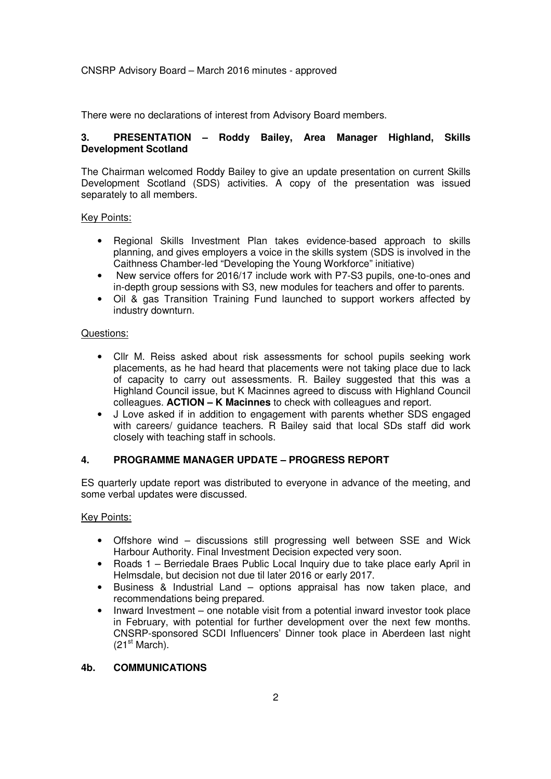## CNSRP Advisory Board – March 2016 minutes - approved

There were no declarations of interest from Advisory Board members.

# **3. PRESENTATION – Roddy Bailey, Area Manager Highland, Skills Development Scotland**

The Chairman welcomed Roddy Bailey to give an update presentation on current Skills Development Scotland (SDS) activities. A copy of the presentation was issued separately to all members.

## Key Points:

- Regional Skills Investment Plan takes evidence-based approach to skills planning, and gives employers a voice in the skills system (SDS is involved in the Caithness Chamber-led "Developing the Young Workforce" initiative)
- New service offers for 2016/17 include work with P7-S3 pupils, one-to-ones and in-depth group sessions with S3, new modules for teachers and offer to parents.
- Oil & gas Transition Training Fund launched to support workers affected by industry downturn.

#### Questions:

- Cllr M. Reiss asked about risk assessments for school pupils seeking work placements, as he had heard that placements were not taking place due to lack of capacity to carry out assessments. R. Bailey suggested that this was a Highland Council issue, but K Macinnes agreed to discuss with Highland Council colleagues. **ACTION – K Macinnes** to check with colleagues and report.
- J Love asked if in addition to engagement with parents whether SDS engaged with careers/ guidance teachers. R Bailey said that local SDs staff did work closely with teaching staff in schools.

## **4. PROGRAMME MANAGER UPDATE – PROGRESS REPORT**

ES quarterly update report was distributed to everyone in advance of the meeting, and some verbal updates were discussed.

## Key Points:

- Offshore wind discussions still progressing well between SSE and Wick Harbour Authority. Final Investment Decision expected very soon.
- Roads 1 Berriedale Braes Public Local Inquiry due to take place early April in Helmsdale, but decision not due til later 2016 or early 2017.
- Business & Industrial Land options appraisal has now taken place, and recommendations being prepared.
- Inward Investment one notable visit from a potential inward investor took place in February, with potential for further development over the next few months. CNSRP-sponsored SCDI Influencers' Dinner took place in Aberdeen last night  $(21<sup>st</sup> March)$ .

## **4b. COMMUNICATIONS**